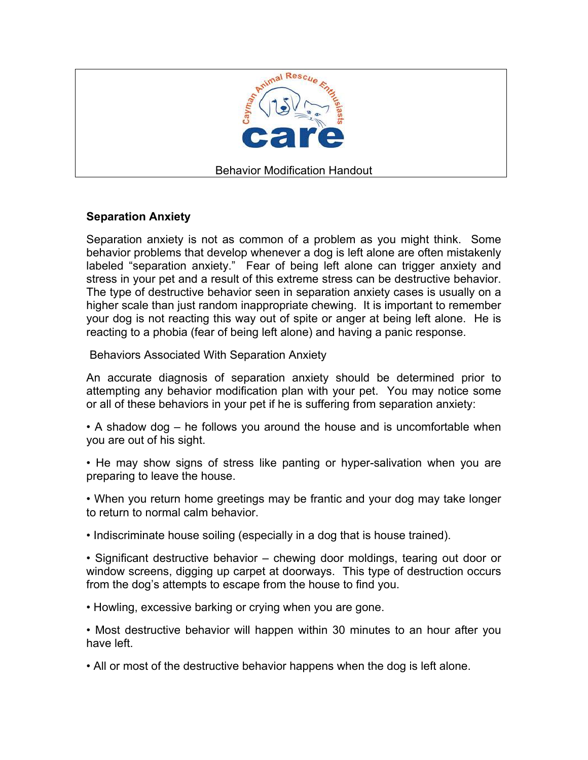

## **Separation Anxiety**

Separation anxiety is not as common of a problem as you might think. Some behavior problems that develop whenever a dog is left alone are often mistakenly labeled "separation anxiety." Fear of being left alone can trigger anxiety and stress in your pet and a result of this extreme stress can be destructive behavior. The type of destructive behavior seen in separation anxiety cases is usually on a higher scale than just random inappropriate chewing. It is important to remember your dog is not reacting this way out of spite or anger at being left alone. He is reacting to a phobia (fear of being left alone) and having a panic response.

Behaviors Associated With Separation Anxiety

An accurate diagnosis of separation anxiety should be determined prior to attempting any behavior modification plan with your pet. You may notice some or all of these behaviors in your pet if he is suffering from separation anxiety:

• A shadow dog – he follows you around the house and is uncomfortable when you are out of his sight.

• He may show signs of stress like panting or hyper-salivation when you are preparing to leave the house.

• When you return home greetings may be frantic and your dog may take longer to return to normal calm behavior.

• Indiscriminate house soiling (especially in a dog that is house trained).

• Significant destructive behavior – chewing door moldings, tearing out door or window screens, digging up carpet at doorways. This type of destruction occurs from the dog's attempts to escape from the house to find you.

• Howling, excessive barking or crying when you are gone.

• Most destructive behavior will happen within 30 minutes to an hour after you have left.

• All or most of the destructive behavior happens when the dog is left alone.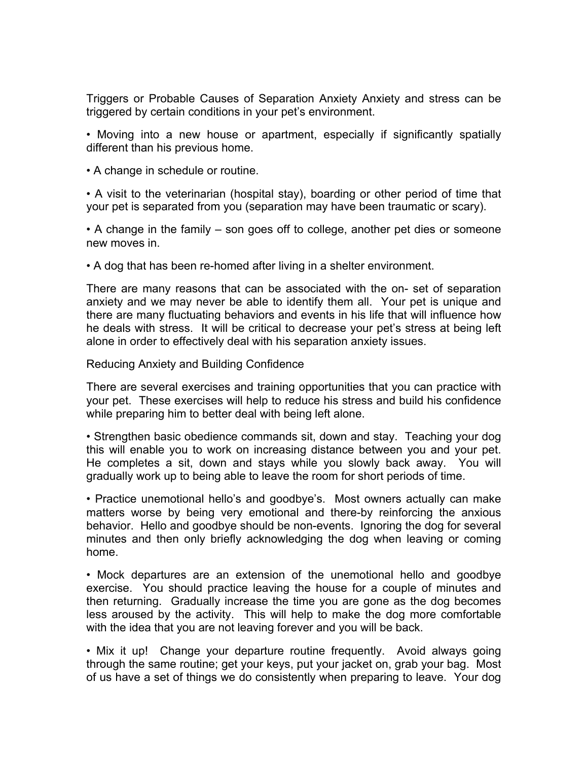Triggers or Probable Causes of Separation Anxiety Anxiety and stress can be triggered by certain conditions in your pet's environment.

• Moving into a new house or apartment, especially if significantly spatially different than his previous home.

• A change in schedule or routine.

• A visit to the veterinarian (hospital stay), boarding or other period of time that your pet is separated from you (separation may have been traumatic or scary).

• A change in the family – son goes off to college, another pet dies or someone new moves in.

• A dog that has been re-homed after living in a shelter environment.

There are many reasons that can be associated with the on- set of separation anxiety and we may never be able to identify them all. Your pet is unique and there are many fluctuating behaviors and events in his life that will influence how he deals with stress. It will be critical to decrease your pet's stress at being left alone in order to effectively deal with his separation anxiety issues.

Reducing Anxiety and Building Confidence

There are several exercises and training opportunities that you can practice with your pet. These exercises will help to reduce his stress and build his confidence while preparing him to better deal with being left alone.

• Strengthen basic obedience commands sit, down and stay. Teaching your dog this will enable you to work on increasing distance between you and your pet. He completes a sit, down and stays while you slowly back away. You will gradually work up to being able to leave the room for short periods of time.

• Practice unemotional hello's and goodbye's. Most owners actually can make matters worse by being very emotional and there-by reinforcing the anxious behavior. Hello and goodbye should be non-events. Ignoring the dog for several minutes and then only briefly acknowledging the dog when leaving or coming home.

• Mock departures are an extension of the unemotional hello and goodbye exercise. You should practice leaving the house for a couple of minutes and then returning. Gradually increase the time you are gone as the dog becomes less aroused by the activity. This will help to make the dog more comfortable with the idea that you are not leaving forever and you will be back.

• Mix it up! Change your departure routine frequently. Avoid always going through the same routine; get your keys, put your jacket on, grab your bag. Most of us have a set of things we do consistently when preparing to leave. Your dog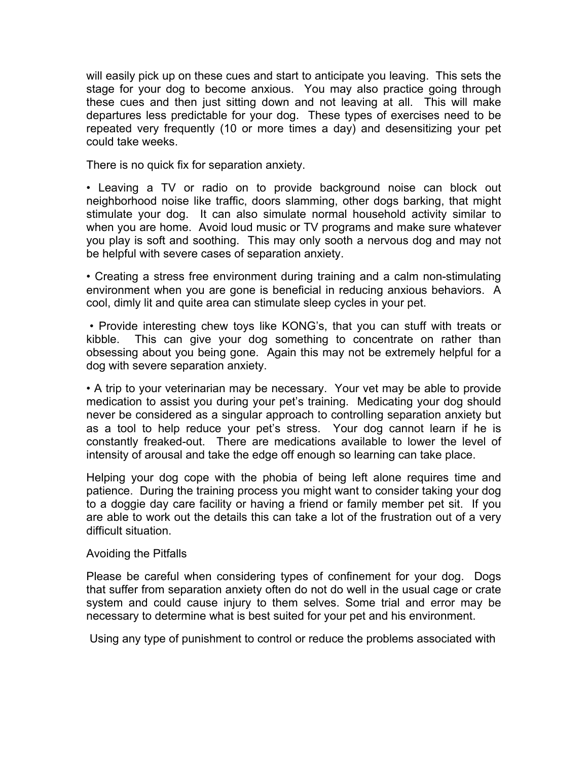will easily pick up on these cues and start to anticipate you leaving. This sets the stage for your dog to become anxious. You may also practice going through these cues and then just sitting down and not leaving at all. This will make departures less predictable for your dog. These types of exercises need to be repeated very frequently (10 or more times a day) and desensitizing your pet could take weeks.

There is no quick fix for separation anxiety.

• Leaving a TV or radio on to provide background noise can block out neighborhood noise like traffic, doors slamming, other dogs barking, that might stimulate your dog. It can also simulate normal household activity similar to when you are home. Avoid loud music or TV programs and make sure whatever you play is soft and soothing. This may only sooth a nervous dog and may not be helpful with severe cases of separation anxiety.

• Creating a stress free environment during training and a calm non-stimulating environment when you are gone is beneficial in reducing anxious behaviors. A cool, dimly lit and quite area can stimulate sleep cycles in your pet.

 • Provide interesting chew toys like KONG's, that you can stuff with treats or kibble. This can give your dog something to concentrate on rather than obsessing about you being gone. Again this may not be extremely helpful for a dog with severe separation anxiety.

• A trip to your veterinarian may be necessary. Your vet may be able to provide medication to assist you during your pet's training. Medicating your dog should never be considered as a singular approach to controlling separation anxiety but as a tool to help reduce your pet's stress. Your dog cannot learn if he is constantly freaked-out. There are medications available to lower the level of intensity of arousal and take the edge off enough so learning can take place.

Helping your dog cope with the phobia of being left alone requires time and patience. During the training process you might want to consider taking your dog to a doggie day care facility or having a friend or family member pet sit. If you are able to work out the details this can take a lot of the frustration out of a very difficult situation.

## Avoiding the Pitfalls

Please be careful when considering types of confinement for your dog. Dogs that suffer from separation anxiety often do not do well in the usual cage or crate system and could cause injury to them selves. Some trial and error may be necessary to determine what is best suited for your pet and his environment.

Using any type of punishment to control or reduce the problems associated with